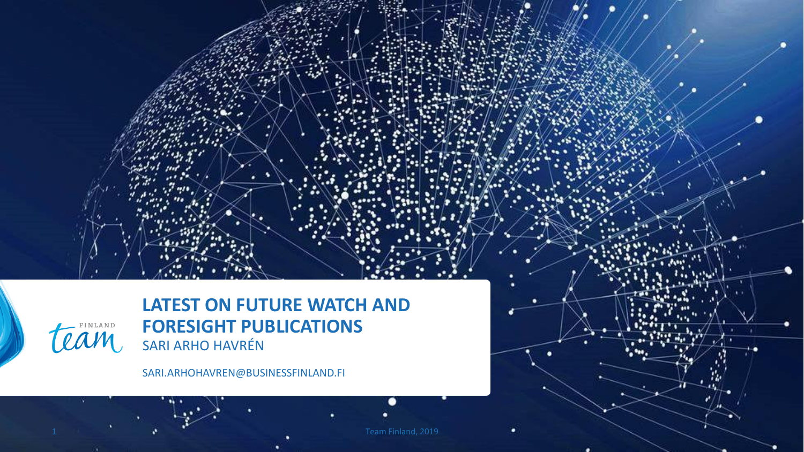

**LATEST ON FUTURE WATCH AND FORESIGHT PUBLICATIONS**  SARI ARHO HAVRÉN

SARI.ARHOHAVREN@BUSINESSFINLAND.FI

≏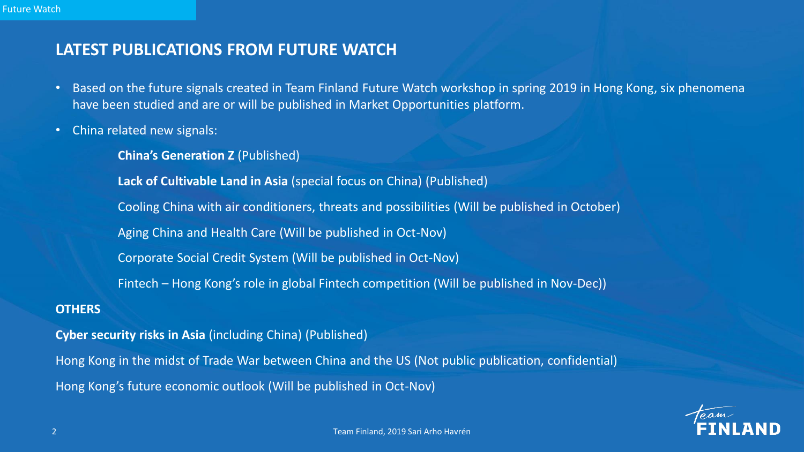### **LATEST PUBLICATIONS FROM FUTURE WATCH**

- Based on the future signals created in Team Finland Future Watch workshop in spring 2019 in Hong Kong, six phenomena have been studied and are or will be published in Market Opportunities platform.
- China related new signals:
	- **China's Generation Z** (Published)

**Lack of Cultivable Land in Asia** (special focus on China) (Published)

Cooling China with air conditioners, threats and possibilities (Will be published in October)

Aging China and Health Care (Will be published in Oct-Nov)

Corporate Social Credit System (Will be published in Oct-Nov)

Fintech – Hong Kong's role in global Fintech competition (Will be published in Nov-Dec))

#### **OTHERS**

**Cyber security risks in Asia** (including China) (Published) Hong Kong in the midst of Trade War between China and the US (Not public publication, confidential) Hong Kong's future economic outlook (Will be published in Oct-Nov)

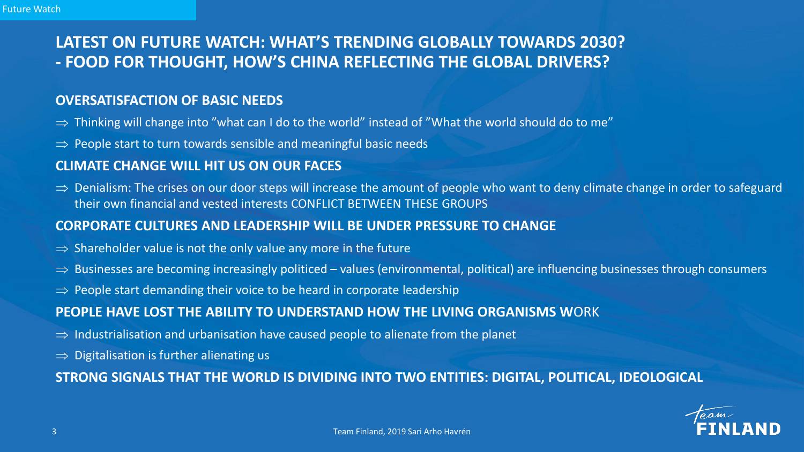### **LATEST ON FUTURE WATCH: WHAT'S TRENDING GLOBALLY TOWARDS 2030? - FOOD FOR THOUGHT, HOW'S CHINA REFLECTING THE GLOBAL DRIVERS?**

### **OVERSATISFACTION OF BASIC NEEDS**

- $\Rightarrow$  Thinking will change into "what can I do to the world" instead of "What the world should do to me"
- $\Rightarrow$  People start to turn towards sensible and meaningful basic needs

### **CLIMATE CHANGE WILL HIT US ON OUR FACES**

 $\Rightarrow$  Denialism: The crises on our door steps will increase the amount of people who want to deny climate change in order to safeguard their own financial and vested interests CONFLICT BETWEEN THESE GROUPS

#### **CORPORATE CULTURES AND LEADERSHIP WILL BE UNDER PRESSURE TO CHANGE**

- $\Rightarrow$  Shareholder value is not the only value any more in the future
- $\Rightarrow$  Businesses are becoming increasingly politiced values (environmental, political) are influencing businesses through consumers
- $\Rightarrow$  People start demanding their voice to be heard in corporate leadership

### **PEOPLE HAVE LOST THE ABILITY TO UNDERSTAND HOW THE LIVING ORGANISMS W**ORK

- $\Rightarrow$  Industrialisation and urbanisation have caused people to alienate from the planet
- $\Rightarrow$  Digitalisation is further alienating us

### **STRONG SIGNALS THAT THE WORLD IS DIVIDING INTO TWO ENTITIES: DIGITAL, POLITICAL, IDEOLOGICAL**

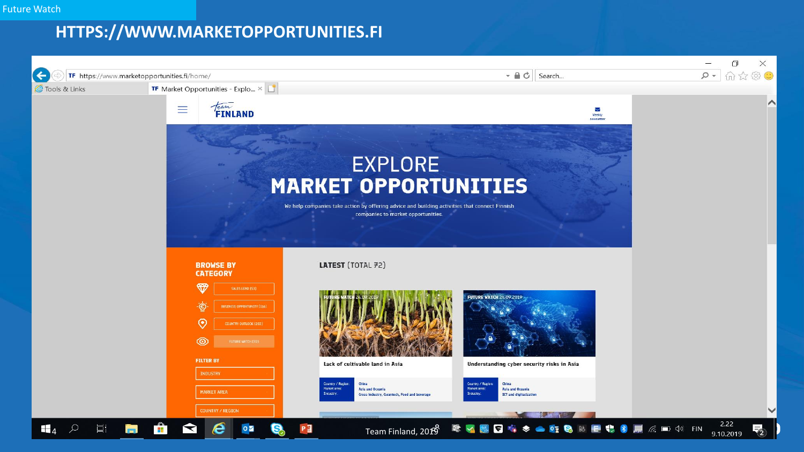## **HTTPS://WWW.MARKETOPPORTUNITIES.FI**

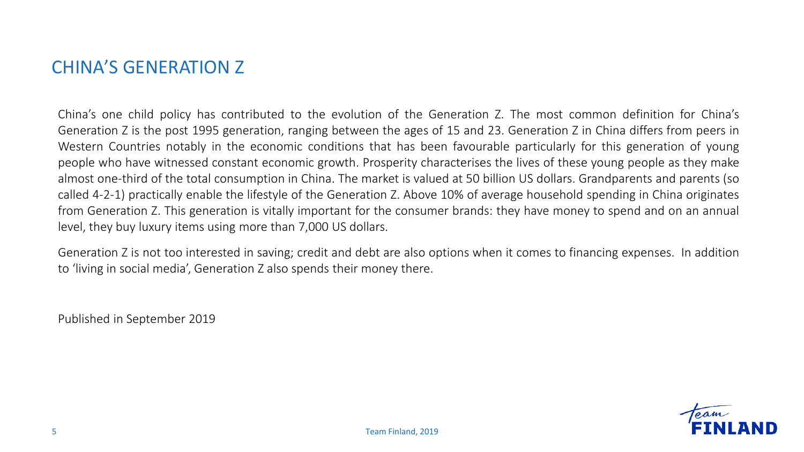## CHINA'S GENERATION Z

China's one child policy has contributed to the evolution of the Generation Z. The most common definition for China's Generation Z is the post 1995 generation, ranging between the ages of 15 and 23. Generation Z in China differs from peers in Western Countries notably in the economic conditions that has been favourable particularly for this generation of young people who have witnessed constant economic growth. Prosperity characterises the lives of these young people as they make almost one-third of the total consumption in China. The market is valued at 50 billion US dollars. Grandparents and parents (so called 4-2-1) practically enable the lifestyle of the Generation Z. Above 10% of average household spending in China originates from Generation Z. This generation is vitally important for the consumer brands: they have money to spend and on an annual level, they buy luxury items using more than 7,000 US dollars.

Generation Z is not too interested in saving; credit and debt are also options when it comes to financing expenses. In addition to 'living in social media', Generation Z also spends their money there.

Published in September 2019

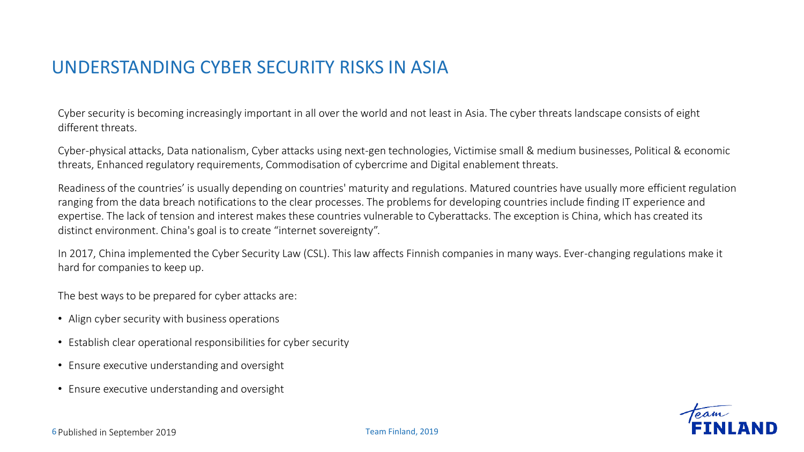## UNDERSTANDING CYBER SECURITY RISKS IN ASIA

Cyber security is becoming increasingly important in all over the world and not least in Asia. The cyber threats landscape consists of eight different threats.

Cyber-physical attacks, Data nationalism, Cyber attacks using next-gen technologies, Victimise small & medium businesses, Political & economic threats, Enhanced regulatory requirements, Commodisation of cybercrime and Digital enablement threats.

Readiness of the countries' is usually depending on countries' maturity and regulations. Matured countries have usually more efficient regulation ranging from the data breach notifications to the clear processes. The problems for developing countries include finding IT experience and expertise. The lack of tension and interest makes these countries vulnerable to Cyberattacks. The exception is China, which has created its distinct environment. China's goal is to create "internet sovereignty".

In 2017, China implemented the Cyber Security Law (CSL). This law affects Finnish companies in many ways. Ever-changing regulations make it hard for companies to keep up.

The best ways to be prepared for cyber attacks are:

- Align cyber security with business operations
- Establish clear operational responsibilities for cyber security
- Ensure executive understanding and oversight
- Ensure executive understanding and oversight

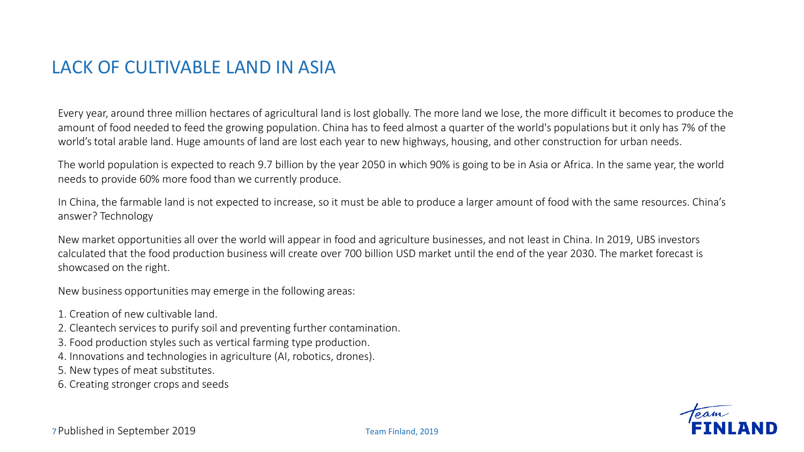## LACK OF CULTIVABLE LAND IN ASIA

Every year, around three million hectares of agricultural land is lost globally. The more land we lose, the more difficult it becomes to produce the amount of food needed to feed the growing population. China has to feed almost a quarter of the world's populations but it only has 7% of the world's total arable land. Huge amounts of land are lost each year to new highways, housing, and other construction for urban needs.

The world population is expected to reach 9.7 billion by the year 2050 in which 90% is going to be in Asia or Africa. In the same year, the world needs to provide 60% more food than we currently produce.

In China, the farmable land is not expected to increase, so it must be able to produce a larger amount of food with the same resources. China's answer? Technology

New market opportunities all over the world will appear in food and agriculture businesses, and not least in China. In 2019, UBS investors calculated that the food production business will create over 700 billion USD market until the end of the year 2030. The market forecast is showcased on the right.

New business opportunities may emerge in the following areas:

- 1. Creation of new cultivable land.
- 2. Cleantech services to purify soil and preventing further contamination.
- 3. Food production styles such as vertical farming type production.
- 4. Innovations and technologies in agriculture (AI, robotics, drones).
- 5. New types of meat substitutes.
- 6. Creating stronger crops and seeds

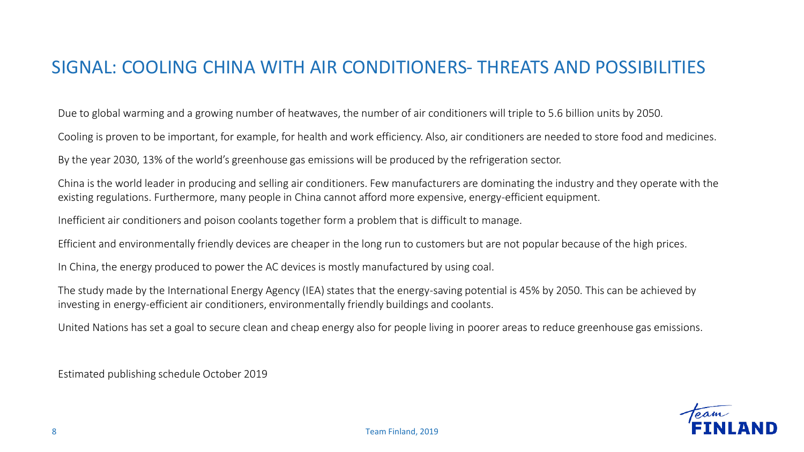## SIGNAL: COOLING CHINA WITH AIR CONDITIONERS- THREATS AND POSSIBILITIES

Due to global warming and a growing number of heatwaves, the number of air conditioners will triple to 5.6 billion units by 2050.

Cooling is proven to be important, for example, for health and work efficiency. Also, air conditioners are needed to store food and medicines.

By the year 2030, 13% of the world's greenhouse gas emissions will be produced by the refrigeration sector.

China is the world leader in producing and selling air conditioners. Few manufacturers are dominating the industry and they operate with the existing regulations. Furthermore, many people in China cannot afford more expensive, energy-efficient equipment.

Inefficient air conditioners and poison coolants together form a problem that is difficult to manage.

Efficient and environmentally friendly devices are cheaper in the long run to customers but are not popular because of the high prices.

In China, the energy produced to power the AC devices is mostly manufactured by using coal.

The study made by the International Energy Agency (IEA) states that the energy-saving potential is 45% by 2050. This can be achieved by investing in energy-efficient air conditioners, environmentally friendly buildings and coolants.

United Nations has set a goal to secure clean and cheap energy also for people living in poorer areas to reduce greenhouse gas emissions.

Estimated publishing schedule October 2019

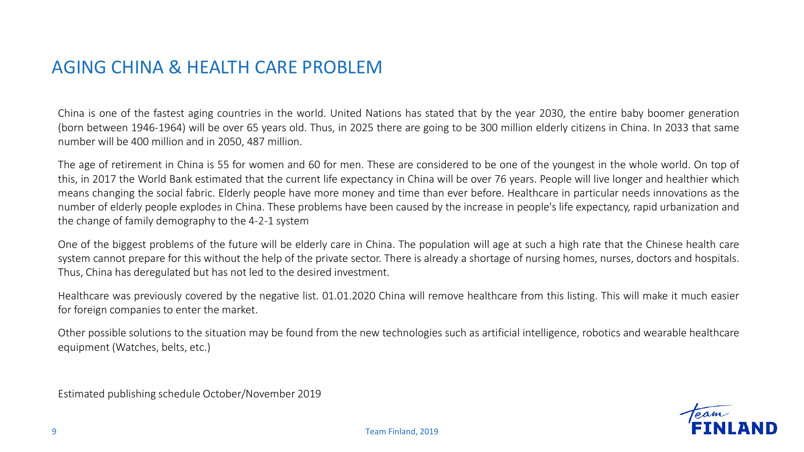## AGING CHINA & HEALTH CARE PROBLEM

China is one of the fastest aging countries in the world. United Nations has stated that by the year 2030, the entire baby boomer generation (born between 1946-1964) will be over 65 years old. Thus, in 2025 there are going to be 300 million elderly citizens in China. In 2033 that same number will be 400 million and in 2050, 487 million.

The age of retirement in China is 55 for women and 60 for men. These are considered to be one of the youngest in the whole world. On top of this, in 2017 the World Bank estimated that the current life expectancy in China will be over 76 years. People will live longer and healthier which means changing the social fabric. Elderly people have more money and time than ever before. Healthcare in particular needs innovations as the number of elderly people explodes in China. These problems have been caused by the increase in people's life expectancy, rapid urbanization and the change of family demography to the 4-2-1 system

One of the biggest problems of the future will be elderly care in China. The population will age at such a high rate that the Chinese health care system cannot prepare for this without the help of the private sector. There is already a shortage of nursing homes, nurses, doctors and hospitals. Thus, China has deregulated but has not led to the desired investment.

Healthcare was previously covered by the negative list. 01.01.2020 China will remove healthcare from this listing. This will make it much easier for foreign companies to enter the market.

Other possible solutions to the situation may be found from the new technologies such as artificial intelligence, robotics and wearable healthcare equipment (Watches, belts, etc.)

Estimated publishing schedule October/November 2019

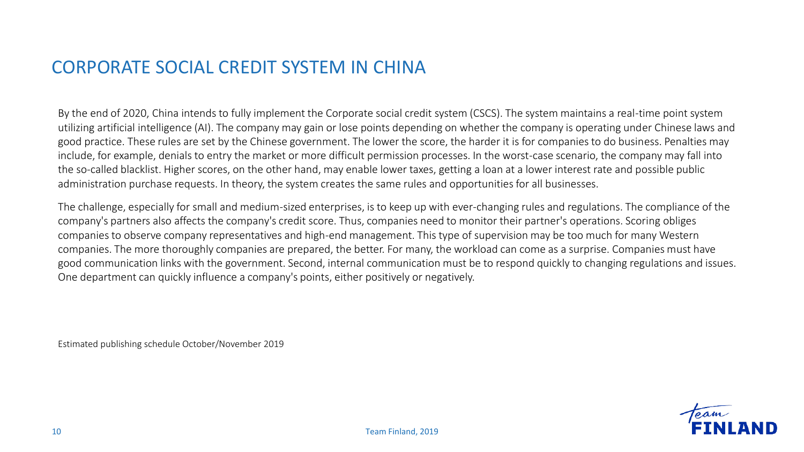## CORPORATE SOCIAL CREDIT SYSTEM IN CHINA

By the end of 2020, China intends to fully implement the Corporate social credit system (CSCS). The system maintains a real-time point system utilizing artificial intelligence (AI). The company may gain or lose points depending on whether the company is operating under Chinese laws and good practice. These rules are set by the Chinese government. The lower the score, the harder it is for companies to do business. Penalties may include, for example, denials to entry the market or more difficult permission processes. In the worst-case scenario, the company may fall into the so-called blacklist. Higher scores, on the other hand, may enable lower taxes, getting a loan at a lower interest rate and possible public administration purchase requests. In theory, the system creates the same rules and opportunities for all businesses.

The challenge, especially for small and medium-sized enterprises, is to keep up with ever-changing rules and regulations. The compliance of the company's partners also affects the company's credit score. Thus, companies need to monitor their partner's operations. Scoring obliges companies to observe company representatives and high-end management. This type of supervision may be too much for many Western companies. The more thoroughly companies are prepared, the better. For many, the workload can come as a surprise. Companies must have good communication links with the government. Second, internal communication must be to respond quickly to changing regulations and issues. One department can quickly influence a company's points, either positively or negatively.

Estimated publishing schedule October/November 2019